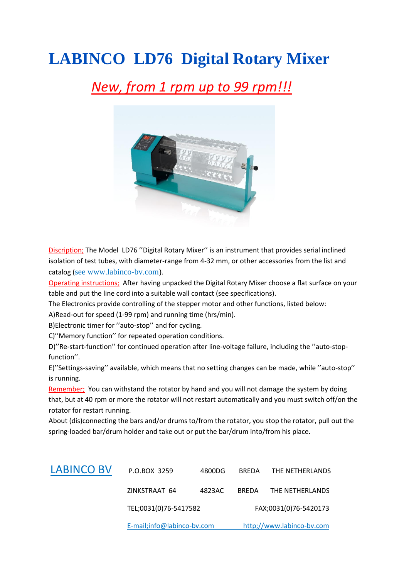## **LABINCO LD76 Digital Rotary Mixer**

#### *New, from 1 rpm up to 99 rpm!!!*



Discription; The Model LD76 ''Digital Rotary Mixer'' is an instrument that provides serial inclined isolation of test tubes, with diameter-range from 4-32 mm, or other accessories from the list and catalog (see [www.labinco-bv.com\)](www.labinco-bv.com).

Operating instructions; After having unpacked the Digital Rotary Mixer choose a flat surface on your table and put the line cord into a suitable wall contact (see specifications).

The Electronics provide controlling of the stepper motor and other functions, listed below:

A)Read-out for speed (1-99 rpm) and running time (hrs/min).

B)Electronic timer for ''auto-stop'' and for cycling.

C)''Memory function'' for repeated operation conditions.

D)''Re-start-function'' for continued operation after line-voltage failure, including the ''auto-stopfunction''.

E)''Settings-saving'' available, which means that no setting changes can be made, while ''auto-stop'' is running.

Remember; You can withstand the rotator by hand and you will not damage the system by doing that, but at 40 rpm or more the rotator will not restart automatically and you must switch off/on the rotator for restart running.

About (dis)connecting the bars and/or drums to/from the rotator, you stop the rotator, pull out the spring-loaded bar/drum holder and take out or put the bar/drum into/from his place.

|                   | E-mail;info@labinco-bv.com |        | http;//www.labinco-bv.com |                 |
|-------------------|----------------------------|--------|---------------------------|-----------------|
|                   | TEL;0031(0)76-5417582      |        | FAX;0031(0)76-5420173     |                 |
|                   | ZINKSTRAAT 64              | 4823AC | <b>BREDA</b>              | THE NETHERLANDS |
| <b>LABINCO BV</b> | P.O.BOX 3259               | 4800DG | <b>BREDA</b>              | THE NETHERLANDS |